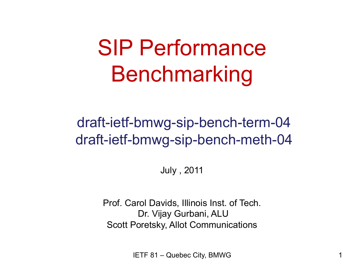#### SIP Performance Benchmarking

#### draft-ietf-bmwg-sip-bench-term-04 draft-ietf-bmwg-sip-bench-meth-04

July , 2011

Prof. Carol Davids, Illinois Inst. of Tech. Dr. Vijay Gurbani, ALU Scott Poretsky, Allot Communications

IETF 81 – Quebec City, BMWG 1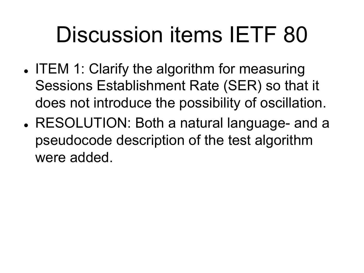- ITEM 1: Clarify the algorithm for measuring Sessions Establishment Rate (SER) so that it does not introduce the possibility of oscillation.
- . RESOLUTION: Both a natural language- and a pseudocode description of the test algorithm were added.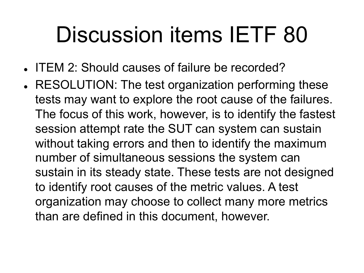- . ITEM 2: Should causes of failure be recorded?
- . RESOLUTION: The test organization performing these tests may want to explore the root cause of the failures. The focus of this work, however, is to identify the fastest session attempt rate the SUT can system can sustain without taking errors and then to identify the maximum number of simultaneous sessions the system can sustain in its steady state. These tests are not designed to identify root causes of the metric values. A test organization may choose to collect many more metrics than are defined in this document, however.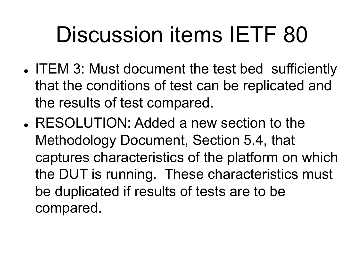- ITEM 3: Must document the test bed sufficiently that the conditions of test can be replicated and the results of test compared.
- RESOLUTION: Added a new section to the Methodology Document, Section 5.4, that captures characteristics of the platform on which the DUT is running. These characteristics must be duplicated if results of tests are to be compared.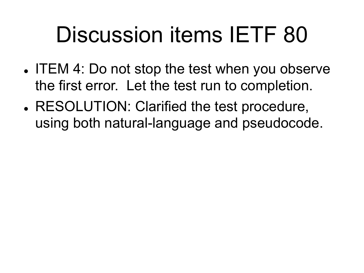- ITEM 4: Do not stop the test when you observe the first error. Let the test run to completion.
- . RESOLUTION: Clarified the test procedure, using both natural-language and pseudocode.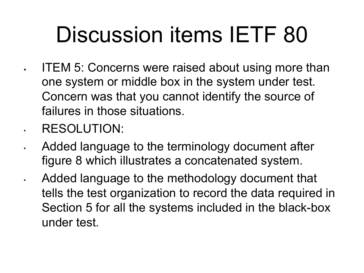- ITEM 5: Concerns were raised about using more than one system or middle box in the system under test. Concern was that you cannot identify the source of failures in those situations.
- RESOLUTION:
- Added language to the terminology document after figure 8 which illustrates a concatenated system.
	- Added language to the methodology document that tells the test organization to record the data required in Section 5 for all the systems included in the black-box under test.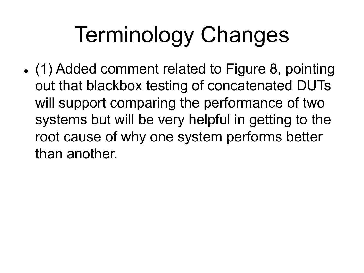## Terminology Changes

• (1) Added comment related to Figure 8, pointing out that blackbox testing of concatenated DUTs will support comparing the performance of two systems but will be very helpful in getting to the root cause of why one system performs better than another.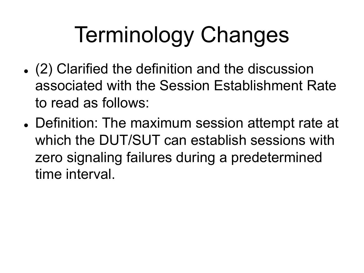# Terminology Changes

- (2) Clarified the definition and the discussion associated with the Session Establishment Rate to read as follows:
- . Definition: The maximum session attempt rate at which the DUT/SUT can establish sessions with zero signaling failures during a predetermined time interval.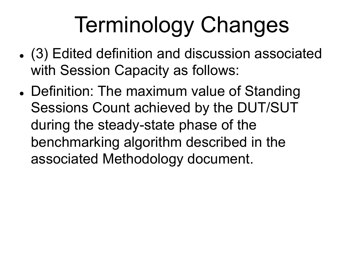# Terminology Changes

- ! (3) Edited definition and discussion associated with Session Capacity as follows:
- Definition: The maximum value of Standing Sessions Count achieved by the DUT/SUT during the steady-state phase of the benchmarking algorithm described in the associated Methodology document.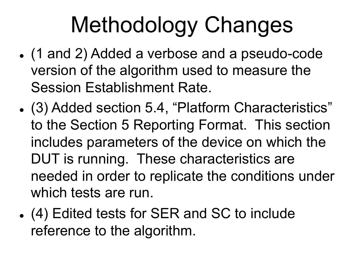# Methodology Changes

- (1 and 2) Added a verbose and a pseudo-code version of the algorithm used to measure the Session Establishment Rate.
- ! (3) Added section 5.4, "Platform Characteristics" to the Section 5 Reporting Format. This section includes parameters of the device on which the DUT is running. These characteristics are needed in order to replicate the conditions under which tests are run.
- ! (4) Edited tests for SER and SC to include reference to the algorithm.